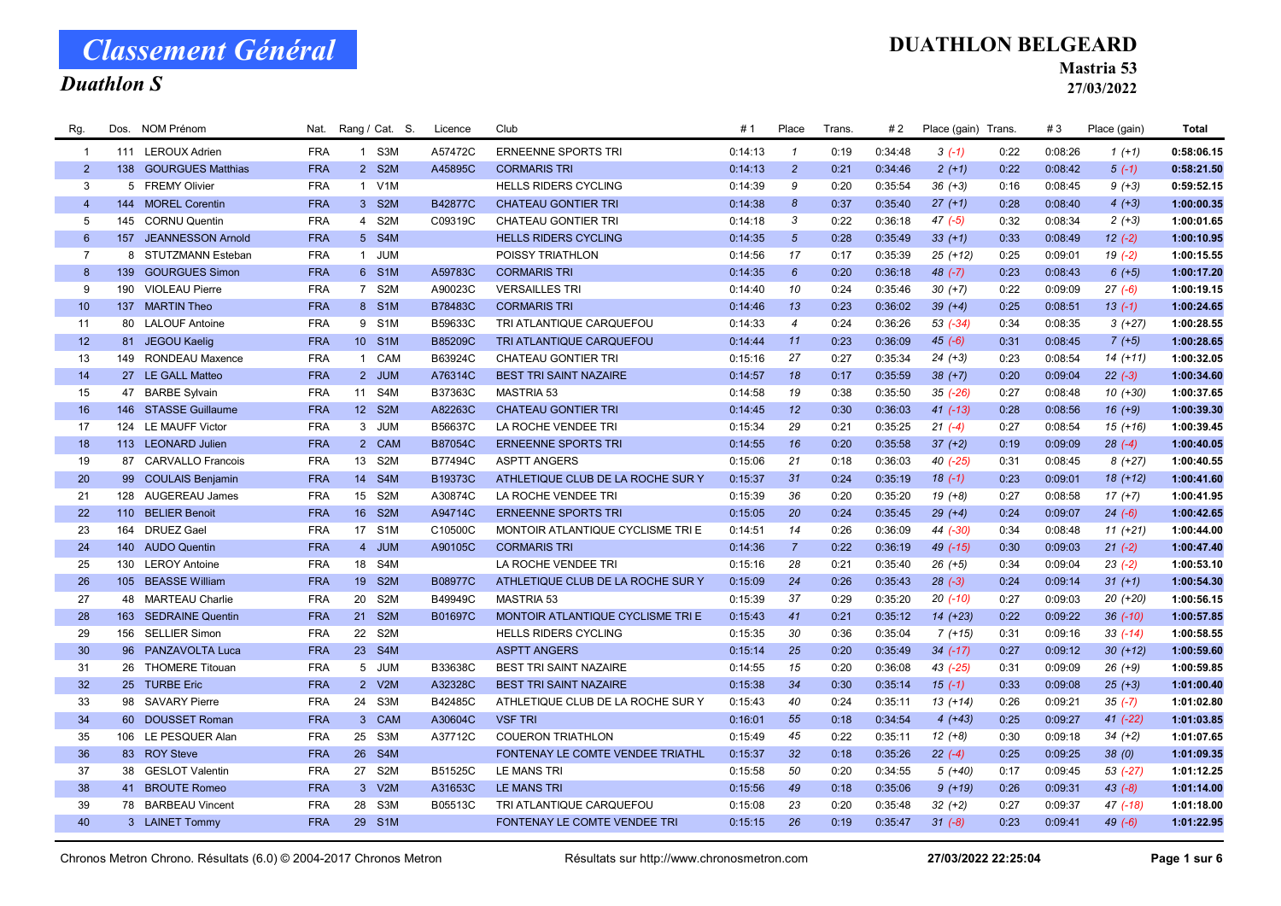## Duathlon S

#### DUATHLON BELGEARD

Mastria 53

27/03/2022

| Rg.             | Dos. | <b>NOM Prénom</b>     | Nat.       | Rang / Cat. S.  |                  | Licence | Club                                | # 1     | Place           | Trans | #2      | Place (gain) Trans. |      | #3      | Place (gain) | Total      |
|-----------------|------|-----------------------|------------|-----------------|------------------|---------|-------------------------------------|---------|-----------------|-------|---------|---------------------|------|---------|--------------|------------|
| $\overline{1}$  |      | 111 LEROUX Adrien     | <b>FRA</b> |                 | 1 S3M            | A57472C | <b>ERNEENNE SPORTS TRI</b>          | 0:14:13 | $\mathbf{1}$    | 0:19  | 0:34:48 | $3(-1)$             | 0:22 | 0:08:26 | $1(+1)$      | 0:58:06.15 |
| $\overline{2}$  |      | 138 GOURGUES Matthias | <b>FRA</b> |                 | 2 S2M            | A45895C | <b>CORMARIS TRI</b>                 | 0:14:13 | $\overline{2}$  | 0:21  | 0:34:46 | $2(+1)$             | 0:22 | 0:08:42 | $5(-1)$      | 0:58:21.50 |
| 3               |      | 5 FREMY Olivier       | <b>FRA</b> | 1 V1M           |                  |         | <b>HELLS RIDERS CYCLING</b>         | 0:14:39 | 9               | 0:20  | 0:35:54 | $36 (+3)$           | 0:16 | 0:08:45 | $9 (+3)$     | 0:59:52.15 |
| $\overline{4}$  |      | 144 MOREL Corentin    | <b>FRA</b> | 3 S2M           |                  | B42877C | <b>CHATEAU GONTIER TRI</b>          | 0:14:38 | 8               | 0:37  | 0:35:40 | $27 (+1)$           | 0:28 | 0:08:40 | $4(+3)$      | 1:00:00.35 |
| 5               |      | 145 CORNU Quentin     | <b>FRA</b> |                 | 4 S2M            | C09319C | <b>CHATEAU GONTIER TRI</b>          | 0:14:18 | 3               | 0:22  | 0:36:18 | $47 (-5)$           | 0:32 | 0:08:34 | $2(+3)$      | 1:00:01.65 |
| $6\overline{6}$ |      | 157 JEANNESSON Arnold | <b>FRA</b> |                 | 5 S4M            |         | <b>HELLS RIDERS CYCLING</b>         | 0:14:35 | $5\overline{5}$ | 0:28  | 0:35:49 | $33 (+1)$           | 0:33 | 0:08:49 | $12(-2)$     | 1:00:10.95 |
| $\overline{7}$  |      | 8 STUTZMANN Esteban   | <b>FRA</b> | $\mathbf{1}$    | JUM              |         | POISSY TRIATHLON                    | 0:14:56 | 17              | 0:17  | 0:35:39 | $25(+12)$           | 0:25 | 0:09:01 | $19(-2)$     | 1:00:15.55 |
| 8               |      | 139 GOURGUES Simon    | <b>FRA</b> | 6 S1M           |                  | A59783C | <b>CORMARIS TRI</b>                 | 0:14:35 | $6\overline{6}$ | 0:20  | 0:36:18 | $48$ $(-7)$         | 0:23 | 0:08:43 | $6 (+5)$     | 1:00:17.20 |
| 9               |      | 190 VIOLEAU Pierre    | <b>FRA</b> | 7 S2M           |                  | A90023C | <b>VERSAILLES TRI</b>               | 0:14:40 | 10              | 0:24  | 0:35:46 | $30 (+7)$           | 0:22 | 0:09:09 | $27(-6)$     | 1:00:19.15 |
| 10 <sup>°</sup> |      | 137 MARTIN Theo       | <b>FRA</b> |                 | 8 S1M            | B78483C | <b>CORMARIS TRI</b>                 | 0:14:46 | 13              | 0:23  | 0:36:02 | $39 (+4)$           | 0:25 | 0:08:51 | $13(-1)$     | 1:00:24.65 |
| 11              |      | 80 LALOUF Antoine     | <b>FRA</b> | 9 S1M           |                  | B59633C | TRI ATLANTIQUE CARQUEFOU            | 0:14:33 | $\overline{4}$  | 0:24  | 0:36:26 | $53$ $(-34)$        | 0:34 | 0:08:35 | $3(+27)$     | 1:00:28.55 |
| 12              |      | 81 JEGOU Kaelig       | <b>FRA</b> | 10 <sup>1</sup> | S <sub>1</sub> M | B85209C | TRI ATLANTIQUE CARQUEFOU            | 0:14:44 | 11              | 0:23  | 0:36:09 | $45(-6)$            | 0:31 | 0:08:45 | $7 (+5)$     | 1:00:28.65 |
| 13              |      | 149 RONDEAU Maxence   | <b>FRA</b> |                 | 1 CAM            | B63924C | <b>CHATEAU GONTIER TRI</b>          | 0:15:16 | 27              | 0:27  | 0:35:34 | $24 (+3)$           | 0:23 | 0:08:54 | $14(+11)$    | 1:00:32.05 |
| 14              |      | 27 LE GALL Matteo     | <b>FRA</b> |                 | 2 JUM            | A76314C | <b>BEST TRI SAINT NAZAIRE</b>       | 0:14:57 | 18              | 0:17  | 0:35:59 | $38 (+7)$           | 0:20 | 0:09:04 | $22 (-3)$    | 1:00:34.60 |
| 15              |      | 47 BARBE Sylvain      | <b>FRA</b> | 11 S4M          |                  | B37363C | <b>MASTRIA 53</b>                   | 0:14:58 | 19              | 0:38  | 0:35:50 | $35$ $(-26)$        | 0:27 | 0:08:48 | 10 (+30)     | 1:00:37.65 |
| 16              |      | 146 STASSE Guillaume  | <b>FRA</b> | 12 S2M          |                  | A82263C | <b>CHATEAU GONTIER TRI</b>          | 0:14:45 | 12              | 0:30  | 0:36:03 | $41 (-13)$          | 0:28 | 0:08:56 | $16 (+9)$    | 1:00:39.30 |
| 17              |      | 124 LE MAUFF Victor   | <b>FRA</b> |                 | 3 JUM            | B56637C | LA ROCHE VENDEE TRI                 | 0:15:34 | 29              | 0:21  | 0:35:25 | $21 (-4)$           | 0:27 | 0:08:54 | $15(+16)$    | 1:00:39.45 |
| 18              |      | 113 LEONARD Julien    | <b>FRA</b> |                 | 2 CAM            | B87054C | <b>ERNEENNE SPORTS TRI</b>          | 0:14:55 | 16              | 0:20  | 0:35:58 | $37 (+2)$           | 0:19 | 0:09:09 | $28(-4)$     | 1:00:40.05 |
| 19              |      | 87 CARVALLO Francois  | <b>FRA</b> | 13 S2M          |                  | B77494C | <b>ASPTT ANGERS</b>                 | 0:15:06 | 21              | 0:18  | 0:36:03 | 40 (-25)            | 0:31 | 0:08:45 | $8(+27)$     | 1:00:40.55 |
| 20              |      | 99 COULAIS Benjamin   | <b>FRA</b> | 14              | S4M              | B19373C | ATHLETIQUE CLUB DE LA ROCHE SUR Y   | 0:15:37 | 31              | 0:24  | 0:35:19 | $18(-1)$            | 0:23 | 0:09:01 | $18(+12)$    | 1:00:41.60 |
| 21              |      | 128 AUGEREAU James    | <b>FRA</b> | 15              | S <sub>2</sub> M | A30874C | LA ROCHE VENDEE TRI                 | 0:15:39 | 36              | 0:20  | 0:35:20 | $19(+8)$            | 0:27 | 0:08:58 | $17(+7)$     | 1:00:41.95 |
| 22              |      | 110 BELIER Benoit     | <b>FRA</b> | 16              | S <sub>2M</sub>  | A94714C | <b>ERNEENNE SPORTS TRI</b>          | 0:15:05 | 20              | 0:24  | 0:35:45 | $29 (+4)$           | 0:24 | 0:09:07 | $24 (-6)$    | 1:00:42.65 |
| 23              | 164  | <b>DRUEZ Gael</b>     | <b>FRA</b> | 17 S1M          |                  | C10500C | MONTOIR ATLANTIQUE CYCLISME TRI E   | 0:14:51 | 14              | 0:26  | 0:36:09 | 44 (-30)            | 0:34 | 0:08:48 | $11 (+21)$   | 1:00:44.00 |
| 24              |      | 140 AUDO Quentin      | <b>FRA</b> |                 | 4 JUM            | A90105C | <b>CORMARIS TRI</b>                 | 0:14:36 | $\overline{7}$  | 0:22  | 0:36:19 | 49 (-15)            | 0:30 | 0:09:03 | $21 (-2)$    | 1:00:47.40 |
| 25              |      | 130 LEROY Antoine     | <b>FRA</b> | 18              | S4M              |         | LA ROCHE VENDEE TRI                 | 0:15:16 | 28              | 0:21  | 0:35:40 | $26 (+5)$           | 0:34 | 0:09:04 | $23 (-2)$    | 1:00:53.10 |
| 26              |      | 105 BEASSE William    | <b>FRA</b> | 19              | S <sub>2M</sub>  | B08977C | ATHLETIQUE CLUB DE LA ROCHE SUR Y   | 0:15:09 | 24              | 0:26  | 0:35:43 | $28(-3)$            | 0:24 | 0:09:14 | $31 (+1)$    | 1:00:54.30 |
| 27              |      | 48 MARTEAU Charlie    | <b>FRA</b> | 20              | S <sub>2</sub> M | B49949C | <b>MASTRIA 53</b>                   | 0:15:39 | 37              | 0:29  | 0:35:20 | $20( -10)$          | 0:27 | 0:09:03 | $20(+20)$    | 1:00:56.15 |
| 28              |      | 163 SEDRAINE Quentin  | <b>FRA</b> | 21              | S <sub>2</sub> M | B01697C | MONTOIR ATLANTIQUE CYCLISME TRI E   | 0:15:43 | 41              | 0:21  | 0:35:12 | $14(+23)$           | 0:22 | 0:09:22 | $36$ $(-10)$ | 1:00:57.85 |
| 29              |      | 156 SELLIER Simon     | <b>FRA</b> | 22              | S <sub>2</sub> M |         | <b>HELLS RIDERS CYCLING</b>         | 0:15:35 | 30              | 0:36  | 0:35:04 | $7(+15)$            | 0:31 | 0:09:16 | $33(-14)$    | 1:00:58.55 |
| 30 <sup>°</sup> |      | 96 PANZAVOLTA Luca    | <b>FRA</b> | 23 S4M          |                  |         | <b>ASPTT ANGERS</b>                 | 0:15:14 | 25              | 0:20  | 0:35:49 | $34$ $(-17)$        | 0:27 | 0:09:12 | $30 (+12)$   | 1:00:59.60 |
| 31              |      | 26 THOMERE Titouan    | <b>FRA</b> | 5 JUM           |                  | B33638C | <b>BEST TRI SAINT NAZAIRE</b>       | 0:14:55 | 15              | 0:20  | 0:36:08 | 43 (-25)            | 0:31 | 0:09:09 | $26 (+9)$    | 1:00:59.85 |
| 32              |      | 25 TURBE Eric         | <b>FRA</b> |                 | 2 V2M            | A32328C | <b>BEST TRI SAINT NAZAIRE</b>       | 0:15:38 | 34              | 0:30  | 0:35:14 | $15(-1)$            | 0:33 | 0:09:08 | $25 (+3)$    | 1:01:00.40 |
| 33              |      | 98 SAVARY Pierre      | <b>FRA</b> | 24              | S3M              | B42485C | ATHLETIQUE CLUB DE LA ROCHE SUR Y   | 0:15:43 | 40              | 0:24  | 0:35:11 | $13(+14)$           | 0:26 | 0:09:21 | $35(-7)$     | 1:01:02.80 |
| 34              |      | 60 DOUSSET Roman      | <b>FRA</b> |                 | 3 CAM            | A30604C | <b>VSF TRI</b>                      | 0:16:01 | 55              | 0:18  | 0:34:54 | $4(+43)$            | 0:25 | 0:09:27 | $41 (-22)$   | 1:01:03.85 |
| 35              |      | 106 LE PESQUER Alan   | <b>FRA</b> | 25              | S3M              | A37712C | <b>COUERON TRIATHLON</b>            | 0:15:49 | 45              | 0:22  | 0:35:11 | $12 (+8)$           | 0:30 | 0:09:18 | $34 (+2)$    | 1:01:07.65 |
| 36              |      | 83 ROY Steve          | <b>FRA</b> | 26              | S <sub>4</sub> M |         | FONTENAY LE COMTE VENDEE TRIATHL    | 0:15:37 | 32              | 0:18  | 0:35:26 | $22(-4)$            | 0:25 | 0:09:25 | 38(0)        | 1:01:09.35 |
| 37              |      | 38 GESLOT Valentin    | <b>FRA</b> | 27              | S <sub>2</sub> M | B51525C | LE MANS TRI                         | 0:15:58 | 50              | 0:20  | 0:34:55 | $5(+40)$            | 0:17 | 0:09:45 | $53$ (-27)   | 1:01:12.25 |
| 38              |      | 41 BROUTE Romeo       | <b>FRA</b> |                 | 3 V2M            | A31653C | <b>LE MANS TRI</b>                  | 0:15:56 | 49              | 0:18  | 0:35:06 | $9(+19)$            | 0:26 | 0:09:31 | $43(-8)$     | 1:01:14.00 |
| 39              |      | 78 BARBEAU Vincent    | <b>FRA</b> | 28              | S <sub>3</sub> M | B05513C | TRI ATLANTIQUE CARQUEFOU            | 0:15:08 | 23              | 0:20  | 0:35:48 | $32 (+2)$           | 0:27 | 0:09:37 | $47$ $(-18)$ | 1:01:18.00 |
| 40              |      | 3 LAINET Tommy        | <b>FRA</b> | 29 S1M          |                  |         | <b>FONTENAY LE COMTE VENDEE TRI</b> | 0:15:15 | 26              | 0:19  | 0:35:47 | $31 (-8)$           | 0:23 | 0:09:41 | $49(-6)$     | 1:01:22.95 |
|                 |      |                       |            |                 |                  |         |                                     |         |                 |       |         |                     |      |         |              |            |

Chronos Metron Chrono. Résultats (6.0) © 2004-2017 Chronos Metron Résultats sur http://www.chronosmetron.com 27/03/2022 22:25:04 Page 1 sur 6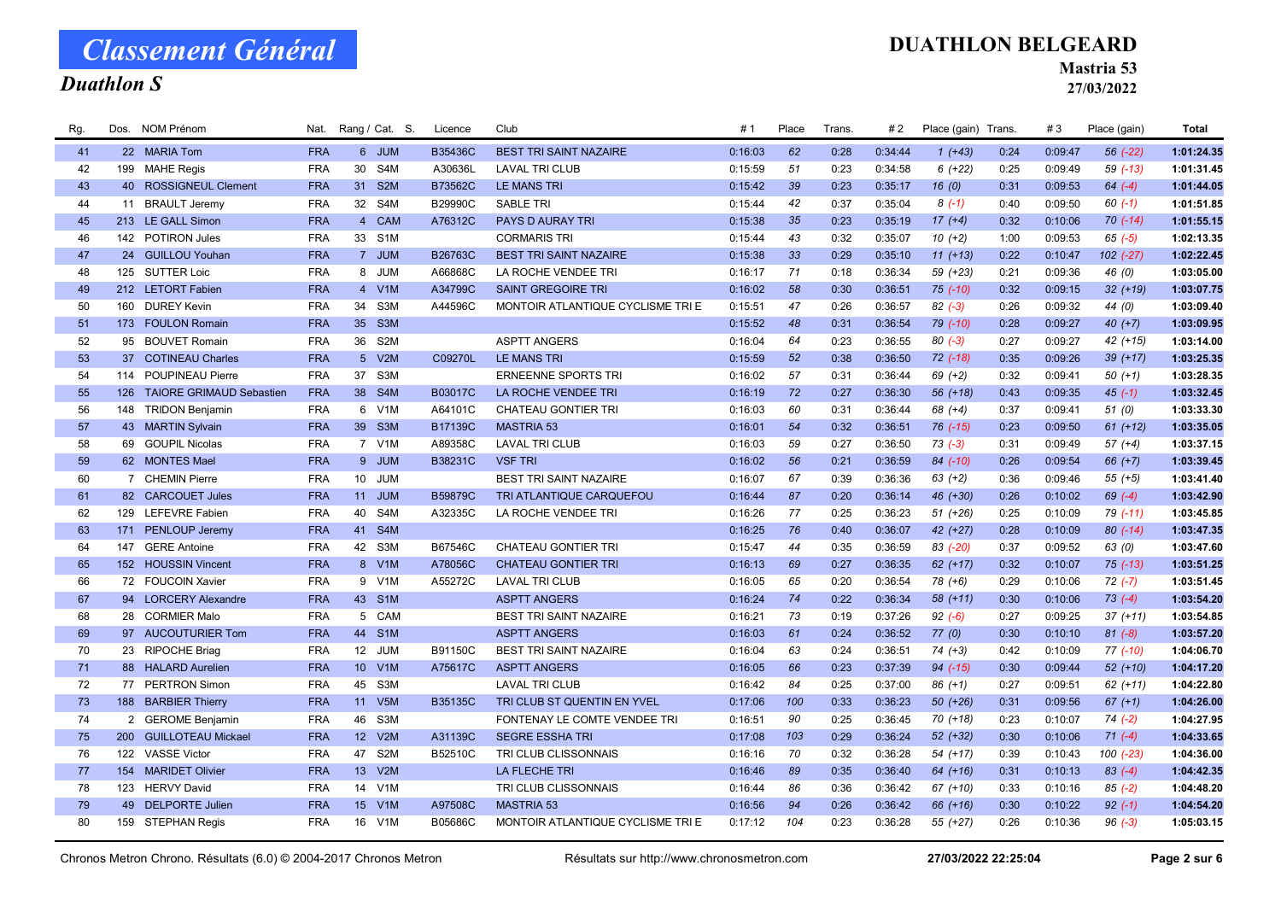## Duathlon S

#### DUATHLON BELGEARD

Mastria 53

| Rg. |     | Dos. NOM Prénom              | Nat.       |                 | Rang / Cat. S.   | Licence | Club                              | #1      | Place | <b>Trans</b> | #2      | Place (gain) Trans. |      | #3      | Place (gain) | <b>Total</b> |
|-----|-----|------------------------------|------------|-----------------|------------------|---------|-----------------------------------|---------|-------|--------------|---------|---------------------|------|---------|--------------|--------------|
| 41  |     | 22 MARIA Tom                 | <b>FRA</b> |                 | 6 JUM            | B35436C | <b>BEST TRI SAINT NAZAIRE</b>     | 0:16:03 | 62    | 0:28         | 0:34:44 | $1(+43)$            | 0:24 | 0:09:47 | $56$ $(-22)$ | 1:01:24.35   |
| 42  |     | 199 MAHE Regis               | <b>FRA</b> | 30 <sup>°</sup> | S4M              | A30636L | <b>LAVAL TRI CLUB</b>             | 0:15:59 | 51    | 0:23         | 0:34:58 | $6(+22)$            | 0:25 | 0:09:49 | $59$ $(-13)$ | 1:01:31.45   |
| 43  |     | 40 ROSSIGNEUL Clement        | <b>FRA</b> | 31              | S <sub>2</sub> M | B73562C | <b>LE MANS TRI</b>                | 0:15:42 | 39    | 0:23         | 0:35:17 | 16(0)               | 0:31 | 0:09:53 | $64 (-4)$    | 1:01:44.05   |
| 44  |     | 11 BRAULT Jeremy             | <b>FRA</b> | 32              | S4M              | B29990C | <b>SABLE TRI</b>                  | 0:15:44 | 42    | 0:37         | 0:35:04 | $8(-1)$             | 0:40 | 0:09:50 | $60(-1)$     | 1:01:51.85   |
| 45  |     | 213 LE GALL Simon            | <b>FRA</b> | $\overline{4}$  | CAM              | A76312C | PAYS D AURAY TRI                  | 0:15:38 | 35    | 0:23         | 0:35:19 | $17(+4)$            | 0:32 | 0:10:06 | $70(-14)$    | 1:01:55.15   |
| 46  |     | 142 POTIRON Jules            | <b>FRA</b> | 33              | S <sub>1</sub> M |         | <b>CORMARIS TRI</b>               | 0:15:44 | 43    | 0:32         | 0:35:07 | $10(+2)$            | 1:00 | 0:09:53 | $65 (-5)$    | 1:02:13.35   |
| 47  |     | 24 GUILLOU Youhan            | <b>FRA</b> |                 | 7 JUM            | B26763C | <b>BEST TRI SAINT NAZAIRE</b>     | 0:15:38 | 33    | 0:29         | 0:35:10 | $11 (+13)$          | 0:22 | 0:10:47 | 102 (-27)    | 1:02:22.45   |
| 48  |     | 125 SUTTER Loic              | <b>FRA</b> |                 | 8 JUM            | A66868C | LA ROCHE VENDEE TRI               | 0:16:17 | 71    | 0:18         | 0:36:34 | 59 (+23)            | 0:21 | 0:09:36 | 46 (0)       | 1:03:05.00   |
| 49  |     | 212 LETORT Fabien            | <b>FRA</b> |                 | 4 V1M            | A34799C | <b>SAINT GREGOIRE TRI</b>         | 0:16:02 | 58    | 0:30         | 0:36:51 | $75$ $(-10)$        | 0:32 | 0:09:15 | $32 (+19)$   | 1:03:07.75   |
| 50  |     | 160 DUREY Kevin              | <b>FRA</b> | 34              | S3M              | A44596C | MONTOIR ATLANTIQUE CYCLISME TRI E | 0:15:51 | 47    | 0:26         | 0:36:57 | $82(-3)$            | 0:26 | 0:09:32 | 44 (0)       | 1:03:09.40   |
| 51  |     | 173 FOULON Romain            | <b>FRA</b> | 35 <sub>o</sub> | S <sub>3</sub> M |         |                                   | 0:15:52 | 48    | 0:31         | 0:36:54 | $79$ $(-10)$        | 0:28 | 0:09:27 | $40 (+7)$    | 1:03:09.95   |
| 52  |     | 95 BOUVET Romain             | <b>FRA</b> | 36              | S <sub>2</sub> M |         | <b>ASPTT ANGERS</b>               | 0:16:04 | 64    | 0:23         | 0:36:55 | $80(-3)$            | 0:27 | 0:09:27 | $42 (+15)$   | 1:03:14.00   |
| 53  |     | 37 COTINEAU Charles          | <b>FRA</b> |                 | 5 V2M            | C09270L | <b>LE MANS TRI</b>                | 0:15:59 | 52    | 0:38         | 0:36:50 | $72$ $(-18)$        | 0:35 | 0:09:26 | $39 (+17)$   | 1:03:25.35   |
| 54  |     | 114 POUPINEAU Pierre         | <b>FRA</b> | 37              | S <sub>3</sub> M |         | <b>ERNEENNE SPORTS TRI</b>        | 0:16:02 | 57    | 0:31         | 0:36:44 | $69 (+2)$           | 0:32 | 0:09:41 | $50 (+1)$    | 1:03:28.35   |
| 55  |     | 126 TAIORE GRIMAUD Sebastien | <b>FRA</b> | 38              | S4M              | B03017C | LA ROCHE VENDEE TRI               | 0:16:19 | 72    | 0:27         | 0:36:30 | $56(+18)$           | 0:43 | 0:09:35 | $45(-1)$     | 1:03:32.45   |
| 56  |     | 148 TRIDON Benjamin          | <b>FRA</b> | 6               | V <sub>1</sub> M | A64101C | CHATEAU GONTIER TRI               | 0:16:03 | 60    | 0:31         | 0:36:44 | 68 (+4)             | 0:37 | 0:09:41 | 51(0)        | 1:03:33.30   |
| 57  |     | 43 MARTIN Sylvain            | <b>FRA</b> | 39              | S <sub>3</sub> M | B17139C | <b>MASTRIA 53</b>                 | 0:16:01 | 54    | 0:32         | 0:36:51 | 76 (-15)            | 0:23 | 0:09:50 | $61 (+12)$   | 1:03:35.05   |
| 58  |     | 69 GOUPIL Nicolas            | <b>FRA</b> |                 | 7 V1M            | A89358C | <b>LAVAL TRI CLUB</b>             | 0:16:03 | 59    | 0:27         | 0:36:50 | $73( -3)$           | 0:31 | 0:09:49 | $57 (+4)$    | 1:03:37.15   |
| 59  |     | 62 MONTES Mael               | <b>FRA</b> |                 | 9 JUM            | B38231C | <b>VSF TRI</b>                    | 0:16:02 | 56    | 0:21         | 0:36:59 | 84 (-10)            | 0:26 | 0:09:54 | $66 (+7)$    | 1:03:39.45   |
| 60  |     | 7 CHEMIN Pierre              | <b>FRA</b> | 10 <sup>1</sup> | <b>JUM</b>       |         | <b>BEST TRI SAINT NAZAIRE</b>     | 0:16:07 | 67    | 0:39         | 0:36:36 | $63 (+2)$           | 0:36 | 0:09:46 | $55(+5)$     | 1:03:41.40   |
| 61  |     | 82 CARCOUET Jules            | <b>FRA</b> | 11              | <b>JUM</b>       | B59879C | TRI ATLANTIQUE CARQUEFOU          | 0:16:44 | 87    | 0:20         | 0:36:14 | 46 (+30)            | 0:26 | 0:10:02 | $69 (-4)$    | 1:03:42.90   |
| 62  |     | 129 LEFEVRE Fabien           | <b>FRA</b> | 40              | S4M              | A32335C | LA ROCHE VENDEE TRI               | 0:16:26 | 77    | 0:25         | 0:36:23 | $51 (+26)$          | 0:25 | 0:10:09 | 79 (-11)     | 1:03:45.85   |
| 63  |     | 171 PENLOUP Jeremy           | <b>FRA</b> | 41              | S <sub>4</sub> M |         |                                   | 0:16:25 | 76    | 0:40         | 0:36:07 | 42 (+27)            | 0:28 | 0:10:09 | $80(-14)$    | 1:03:47.35   |
| 64  | 147 | <b>GERE Antoine</b>          | <b>FRA</b> | 42              | S3M              | B67546C | <b>CHATEAU GONTIER TRI</b>        | 0:15:47 | 44    | 0:35         | 0:36:59 | 83 (-20)            | 0:37 | 0:09:52 | 63 (0)       | 1:03:47.60   |
| 65  |     | 152 HOUSSIN Vincent          | <b>FRA</b> |                 | 8 V1M            | A78056C | <b>CHATEAU GONTIER TRI</b>        | 0:16:13 | 69    | 0:27         | 0:36:35 | $62 (+17)$          | 0:32 | 0:10:07 | $75$ $(-13)$ | 1:03:51.25   |
| 66  |     | 72 FOUCOIN Xavier            | <b>FRA</b> | 9               | V <sub>1</sub> M | A55272C | <b>LAVAL TRI CLUB</b>             | 0:16:05 | 65    | 0:20         | 0:36:54 | $78(+6)$            | 0:29 | 0:10:06 | $72(-7)$     | 1:03:51.45   |
| 67  |     | 94 LORCERY Alexandre         | <b>FRA</b> | 43              | S <sub>1</sub> M |         | <b>ASPTT ANGERS</b>               | 0:16:24 | 74    | 0:22         | 0:36:34 | $58(+11)$           | 0:30 | 0:10:06 | $73(-4)$     | 1:03:54.20   |
| 68  |     | 28 CORMIER Malo              | <b>FRA</b> |                 | 5 CAM            |         | BEST TRI SAINT NAZAIRE            | 0:16:21 | 73    | 0:19         | 0:37:26 | $92 (-6)$           | 0:27 | 0:09:25 | $37 (+11)$   | 1:03:54.85   |
| 69  |     | 97 AUCOUTURIER Tom           | <b>FRA</b> | 44              | S <sub>1</sub> M |         | <b>ASPTT ANGERS</b>               | 0:16:03 | 61    | 0:24         | 0:36:52 | 77(0)               | 0:30 | 0:10:10 | $81 (-8)$    | 1:03:57.20   |
| 70  |     | 23 RIPOCHE Briag             | <b>FRA</b> | 12 <sup>2</sup> | JUM              | B91150C | <b>BEST TRI SAINT NAZAIRE</b>     | 0:16:04 | 63    | 0:24         | 0:36:51 | $74 (+3)$           | 0:42 | 0:10:09 | 77 (-10)     | 1:04:06.70   |
| 71  |     | 88 HALARD Aurelien           | <b>FRA</b> | 10 <sup>1</sup> | V1M              | A75617C | <b>ASPTT ANGERS</b>               | 0:16:05 | 66    | 0:23         | 0:37:39 | 94 (-15)            | 0:30 | 0:09:44 | $52 (+10)$   | 1:04:17.20   |
| 72  |     | 77 PERTRON Simon             | <b>FRA</b> | 45              | S3M              |         | <b>LAVAL TRI CLUB</b>             | 0:16:42 | 84    | 0:25         | 0:37:00 | $86 (+1)$           | 0:27 | 0:09:51 | $62 (+11)$   | 1:04:22.80   |
| 73  |     | 188 BARBIER Thierry          | <b>FRA</b> |                 | 11 V5M           | B35135C | TRI CLUB ST QUENTIN EN YVEL       | 0:17:06 | 100   | 0:33         | 0:36:23 | $50(+26)$           | 0:31 | 0:09:56 | $67 (+1)$    | 1:04:26.00   |
| 74  |     | 2 GEROME Benjamin            | <b>FRA</b> | 46              | S <sub>3</sub> M |         | FONTENAY LE COMTE VENDEE TRI      | 0:16:51 | 90    | 0:25         | 0:36:45 | $70(+18)$           | 0:23 | 0:10:07 | $74 (-2)$    | 1:04:27.95   |
| 75  |     | 200 GUILLOTEAU Mickael       | <b>FRA</b> | 12 <sup>2</sup> | V2M              | A31139C | <b>SEGRE ESSHA TRI</b>            | 0:17:08 | 103   | 0:29         | 0:36:24 | $52 (+32)$          | 0:30 | 0:10:06 | $71(-4)$     | 1:04:33.65   |
| 76  |     | 122 VASSE Victor             | <b>FRA</b> | 47              | S <sub>2</sub> M | B52510C | TRI CLUB CLISSONNAIS              | 0:16:16 | 70    | 0:32         | 0:36:28 | 54 (+17)            | 0:39 | 0:10:43 | 100 (-23)    | 1:04:36.00   |
| 77  |     | 154 MARIDET Olivier          | <b>FRA</b> | 13 <sup>°</sup> | V2M              |         | <b>LA FLECHE TRI</b>              | 0:16:46 | 89    | 0:35         | 0:36:40 | $64$ $(+16)$        | 0:31 | 0:10:13 | $83(-4)$     | 1:04:42.35   |
| 78  |     | 123 HERVY David              | <b>FRA</b> | 14              | V1M              |         | TRI CLUB CLISSONNAIS              | 0:16:44 | 86    | 0:36         | 0:36:42 | 67 (+10)            | 0:33 | 0:10:16 | $85 (-2)$    | 1:04:48.20   |
| 79  |     | 49 DELPORTE Julien           | <b>FRA</b> | 15 <sub>1</sub> | V1M              | A97508C | <b>MASTRIA 53</b>                 | 0:16:56 | 94    | 0:26         | 0:36:42 | 66 (+16)            | 0:30 | 0:10:22 | $92 (-1)$    | 1:04:54.20   |
| 80  |     | 159 STEPHAN Regis            | <b>FRA</b> | 16              | V1M              | B05686C | MONTOIR ATLANTIQUE CYCLISME TRI E | 0:17:12 | 104   | 0:23         | 0:36:28 | 55 (+27)            | 0:26 | 0:10:36 | $96(-3)$     | 1:05:03.15   |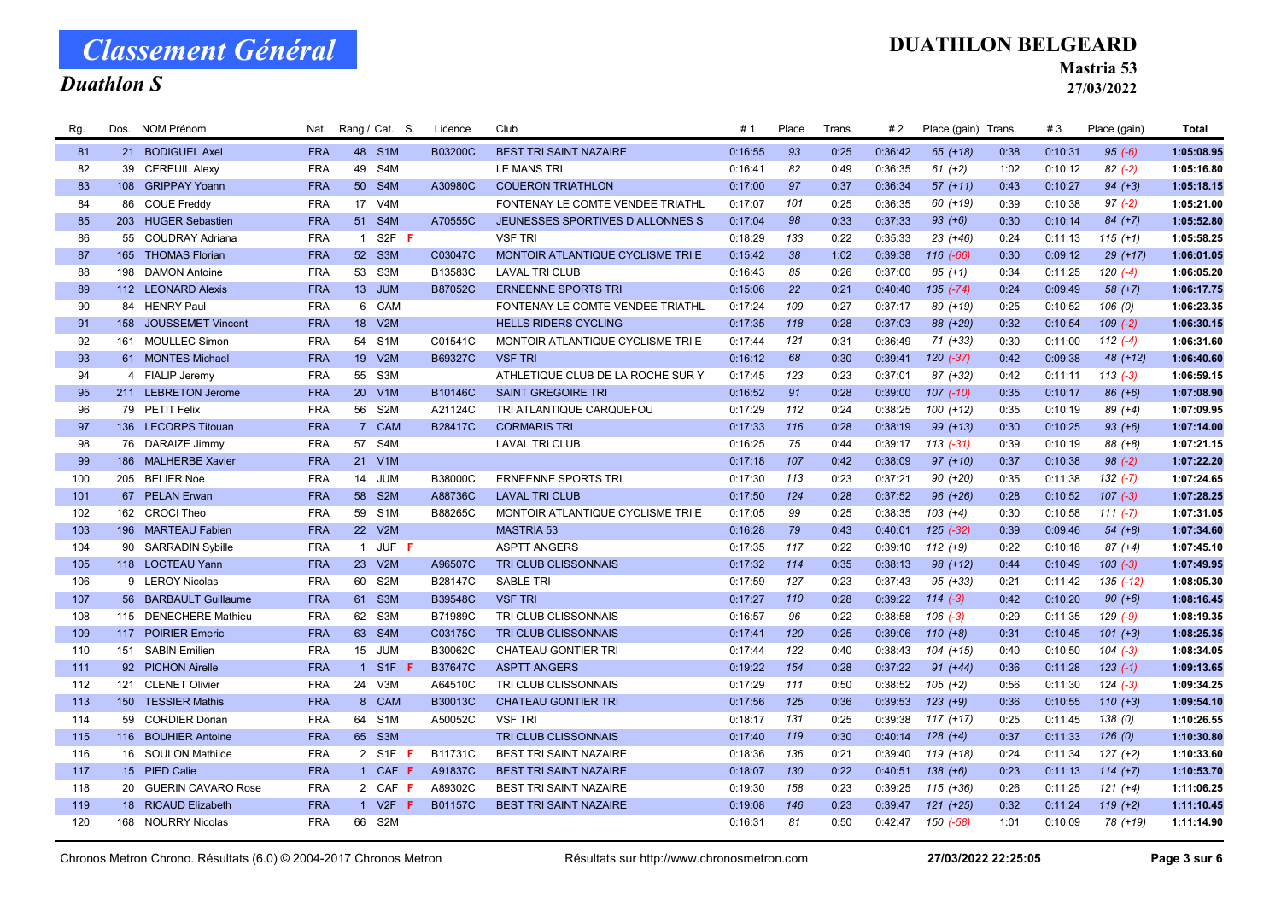## Duathlon S

### DUATHLON BELGEARD

Mastria 53

| Rg. |     | Dos. NOM Prénom       | Nat.       |                  | Rang / Cat. S.   | Licence        | Club                              | #1      | Place | Trans. | #2      | Place (gain) Trans. |      | #3      | Place (gain)  | <b>Total</b> |
|-----|-----|-----------------------|------------|------------------|------------------|----------------|-----------------------------------|---------|-------|--------|---------|---------------------|------|---------|---------------|--------------|
| 81  |     | 21 BODIGUEL Axel      | <b>FRA</b> |                  | 48 S1M           | B03200C        | <b>BEST TRI SAINT NAZAIRE</b>     | 0:16:55 | 93    | 0:25   | 0:36:42 | $65$ $(+18)$        | 0:38 | 0:10:31 | $95 (-6)$     | 1:05:08.95   |
| 82  |     | 39 CEREUIL Alexy      | <b>FRA</b> | 49               | S4M              |                | LE MANS TRI                       | 0:16:41 | 82    | 0:49   | 0:36:35 | $61 (+2)$           | 1:02 | 0:10:12 | $82 (-2)$     | 1:05:16.80   |
| 83  |     | 108 GRIPPAY Yoann     | <b>FRA</b> | 50 <sub>2</sub>  | S4M              | A30980C        | <b>COUERON TRIATHLON</b>          | 0:17:00 | 97    | 0:37   | 0:36:34 | $57(+11)$           | 0:43 | 0:10:27 | $94 (+3)$     | 1:05:18.15   |
| 84  |     | 86 COUE Freddy        | <b>FRA</b> |                  | 17 V4M           |                | FONTENAY LE COMTE VENDEE TRIATHL  | 0:17:07 | 101   | 0:25   | 0:36:35 | 60 (+19)            | 0:39 | 0:10:38 | $97 (-2)$     | 1:05:21.00   |
| 85  |     | 203 HUGER Sebastien   | <b>FRA</b> | 51               | S4M              | A70555C        | JEUNESSES SPORTIVES D ALLONNES S  | 0:17:04 | 98    | 0:33   | 0:37:33 | $93 (+6)$           | 0:30 | 0:10:14 | $84 (+7)$     | 1:05:52.80   |
| 86  |     | 55 COUDRAY Adriana    | <b>FRA</b> | $\overline{1}$   | $S2F$ F          |                | <b>VSF TRI</b>                    | 0:18:29 | 133   | 0:22   | 0:35:33 | $23(+46)$           | 0:24 | 0:11:13 | $115 (+1)$    | 1:05:58.25   |
| 87  |     | 165 THOMAS Florian    | <b>FRA</b> | 52               | S <sub>3</sub> M | C03047C        | MONTOIR ATLANTIQUE CYCLISME TRI E | 0:15:42 | 38    | 1:02   | 0:39:38 | $116(-66)$          | 0:30 | 0:09:12 | $29(+17)$     | 1:06:01.05   |
| 88  | 198 | <b>DAMON Antoine</b>  | <b>FRA</b> | 53               | S3M              | B13583C        | <b>LAVAL TRI CLUB</b>             | 0:16:43 | 85    | 0:26   | 0:37:00 | $85 (+1)$           | 0:34 | 0:11:25 | $120(-4)$     | 1:06:05.20   |
| 89  |     | 112 LEONARD Alexis    | <b>FRA</b> |                  | 13 JUM           | B87052C        | <b>ERNEENNE SPORTS TRI</b>        | 0:15:06 | 22    | 0:21   | 0:40:40 | $135 (-74)$         | 0:24 | 0:09:49 | $58(+7)$      | 1:06:17.75   |
| 90  |     | 84 HENRY Paul         | <b>FRA</b> |                  | 6 CAM            |                | FONTENAY LE COMTE VENDEE TRIATHL  | 0:17:24 | 109   | 0:27   | 0:37:17 | 89 (+19)            | 0:25 | 0:10:52 | 106(0)        | 1:06:23.35   |
| 91  |     | 158 JOUSSEMET Vincent | <b>FRA</b> | 18               | V2M              |                | <b>HELLS RIDERS CYCLING</b>       | 0:17:35 | 118   | 0:28   | 0:37:03 | 88 (+29)            | 0:32 | 0:10:54 | $109(-2)$     | 1:06:30.15   |
| 92  |     | 161 MOULLEC Simon     | <b>FRA</b> | 54               | S <sub>1</sub> M | C01541C        | MONTOIR ATLANTIQUE CYCLISME TRI E | 0:17:44 | 121   | 0:31   | 0:36:49 | 71 (+33)            | 0:30 | 0:11:00 | $112(-4)$     | 1:06:31.60   |
| 93  |     | 61 MONTES Michael     | <b>FRA</b> | 19               | V2M              | B69327C        | <b>VSF TRI</b>                    | 0:16:12 | 68    | 0:30   | 0:39:41 | $120(-37)$          | 0:42 | 0:09:38 | 48 (+12)      | 1:06:40.60   |
| 94  |     | 4 FIALIP Jeremy       | <b>FRA</b> | 55               | S <sub>3</sub> M |                | ATHLETIQUE CLUB DE LA ROCHE SUR Y | 0:17:45 | 123   | 0:23   | 0:37:01 | 87 (+32)            | 0:42 | 0:11:11 | $113(-3)$     | 1:06:59.15   |
| 95  |     | 211 LEBRETON Jerome   | <b>FRA</b> | 20 <sub>2</sub>  | V1M              | B10146C        | <b>SAINT GREGOIRE TRI</b>         | 0:16:52 | 91    | 0:28   | 0:39:00 | $107$ $(-10)$       | 0:35 | 0:10:17 | $86 (+6)$     | 1:07:08.90   |
| 96  |     | 79 PETIT Felix        | <b>FRA</b> | 56               | S <sub>2</sub> M | A21124C        | TRI ATLANTIQUE CARQUEFOU          | 0:17:29 | 112   | 0:24   | 0:38:25 | $100 (+12)$         | 0:35 | 0:10:19 | 89 (+4)       | 1:07:09.95   |
| 97  |     | 136 LECORPS Titouan   | <b>FRA</b> | $\overline{7}$   | <b>CAM</b>       | <b>B28417C</b> | <b>CORMARIS TRI</b>               | 0:17:33 | 116   | 0:28   | 0:38:19 | $99 (+13)$          | 0:30 | 0:10:25 | $93 (+6)$     | 1:07:14.00   |
| 98  |     | 76 DARAIZE Jimmy      | <b>FRA</b> | 57               | S4M              |                | <b>LAVAL TRI CLUB</b>             | 0:16:25 | 75    | 0:44   | 0:39:17 | $113(-31)$          | 0:39 | 0:10:19 | 88 (+8)       | 1:07:21.15   |
| 99  |     | 186 MALHERBE Xavier   | <b>FRA</b> |                  | 21 V1M           |                |                                   | 0:17:18 | 107   | 0:42   | 0:38:09 | $97 (+10)$          | 0:37 | 0:10:38 | $98(-2)$      | 1:07:22.20   |
| 100 | 205 | <b>BELIER Noe</b>     | <b>FRA</b> | 14               | <b>JUM</b>       | B38000C        | <b>ERNEENNE SPORTS TRI</b>        | 0:17:30 | 113   | 0:23   | 0:37:21 | 90 (+20)            | 0:35 | 0:11:38 | $132 (-7)$    | 1:07:24.65   |
| 101 |     | 67 PELAN Erwan        | <b>FRA</b> | 58               | S <sub>2</sub> M | A88736C        | <b>LAVAL TRI CLUB</b>             | 0:17:50 | 124   | 0:28   | 0:37:52 | $96 (+26)$          | 0:28 | 0:10:52 | $107$ $(-3)$  | 1:07:28.25   |
| 102 |     | 162 CROCI Theo        | <b>FRA</b> | 59               | S <sub>1</sub> M | B88265C        | MONTOIR ATLANTIQUE CYCLISME TRI E | 0:17:05 | 99    | 0:25   | 0:38:35 | $103 (+4)$          | 0:30 | 0:10:58 | $111 (-7)$    | 1:07:31.05   |
| 103 |     | 196 MARTEAU Fabien    | <b>FRA</b> |                  | 22 V2M           |                | <b>MASTRIA 53</b>                 | 0:16:28 | 79    | 0:43   | 0:40:01 | $125$ $(-32)$       | 0:39 | 0:09:46 | $54(+8)$      | 1:07:34.60   |
| 104 |     | 90 SARRADIN Sybille   | <b>FRA</b> |                  | 1 JUF F          |                | <b>ASPTT ANGERS</b>               | 0:17:35 | 117   | 0:22   | 0:39:10 | $112 (+9)$          | 0:22 | 0:10:18 | $87 (+4)$     | 1:07:45.10   |
| 105 |     | 118 LOCTEAU Yann      | <b>FRA</b> | 23               | V2M              | A96507C        | TRI CLUB CLISSONNAIS              | 0:17:32 | 114   | 0:35   | 0:38:13 | $98 (+12)$          | 0:44 | 0:10:49 | $103(-3)$     | 1:07:49.95   |
| 106 |     | 9 LEROY Nicolas       | <b>FRA</b> | 60               | S <sub>2</sub> M | B28147C        | <b>SABLE TRI</b>                  | 0:17:59 | 127   | 0:23   | 0:37:43 | $95 (+33)$          | 0:21 | 0:11:42 | $135$ $(-12)$ | 1:08:05.30   |
| 107 |     | 56 BARBAULT Guillaume | <b>FRA</b> | 61               | S <sub>3</sub> M | B39548C        | <b>VSF TRI</b>                    | 0:17:27 | 110   | 0:28   | 0:39:22 | $114 (-3)$          | 0:42 | 0:10:20 | $90 (+6)$     | 1:08:16.45   |
| 108 |     | 115 DENECHERE Mathieu | <b>FRA</b> | 62               | S3M              | B71989C        | TRI CLUB CLISSONNAIS              | 0:16:57 | 96    | 0:22   | 0:38:58 | $106$ $(-3)$        | 0:29 | 0:11:35 | $129(-9)$     | 1:08:19.35   |
| 109 |     | 117 POIRIER Emeric    | <b>FRA</b> |                  | 63 S4M           | C03175C        | TRI CLUB CLISSONNAIS              | 0:17:41 | 120   | 0:25   | 0:39:06 | $110 (+8)$          | 0:31 | 0:10:45 | $101 (+3)$    | 1:08:25.35   |
| 110 |     | 151 SABIN Emilien     | <b>FRA</b> | 15 <sub>15</sub> | JUM              | B30062C        | CHATEAU GONTIER TRI               | 0:17:44 | 122   | 0:40   | 0:38:43 | 104 (+15)           | 0:40 | 0:10:50 | $104 (-3)$    | 1:08:34.05   |
| 111 |     | 92 PICHON Airelle     | <b>FRA</b> |                  | 1 S1F F          | <b>B37647C</b> | <b>ASPTT ANGERS</b>               | 0:19:22 | 154   | 0:28   | 0:37:22 | $91 (+44)$          | 0:36 | 0:11:28 | $123(-1)$     | 1:09:13.65   |
| 112 | 121 | <b>CLENET Olivier</b> | <b>FRA</b> | 24               | V3M              | A64510C        | TRI CLUB CLISSONNAIS              | 0:17:29 | 111   | 0:50   | 0:38:52 | $105 (+2)$          | 0:56 | 0:11:30 | $124(-3)$     | 1:09:34.25   |
| 113 |     | 150 TESSIER Mathis    | <b>FRA</b> |                  | 8 CAM            | B30013C        | <b>CHATEAU GONTIER TRI</b>        | 0:17:56 | 125   | 0:36   | 0:39:53 | $123 (+9)$          | 0:36 | 0:10:55 | $110 (+3)$    | 1:09:54.10   |
| 114 |     | 59 CORDIER Dorian     | <b>FRA</b> | 64               | S <sub>1</sub> M | A50052C        | <b>VSF TRI</b>                    | 0:18:17 | 131   | 0:25   | 0:39:38 | $117 (+17)$         | 0:25 | 0:11:45 | 138(0)        | 1:10:26.55   |
| 115 |     | 116 BOUHIER Antoine   | <b>FRA</b> | 65               | S3M              |                | TRI CLUB CLISSONNAIS              | 0:17:40 | 119   | 0:30   | 0:40:14 | $128 (+4)$          | 0:37 | 0:11:33 | 126(0)        | 1:10:30.80   |
| 116 |     | 16 SOULON Mathilde    | <b>FRA</b> |                  | 2 S1F F          | B11731C        | <b>BEST TRI SAINT NAZAIRE</b>     | 0:18:36 | 136   | 0:21   | 0:39:40 | $119 (+18)$         | 0:24 | 0:11:34 | $127 (+2)$    | 1:10:33.60   |
| 117 |     | 15 PIED Calie         | <b>FRA</b> |                  | 1 CAF F          | A91837C        | <b>BEST TRI SAINT NAZAIRE</b>     | 0:18:07 | 130   | 0:22   | 0:40:51 | $138 (+6)$          | 0:23 | 0:11:13 | $114 (+7)$    | 1:10:53.70   |
| 118 |     | 20 GUERIN CAVARO Rose | <b>FRA</b> |                  | 2 CAF F          | A89302C        | <b>BEST TRI SAINT NAZAIRE</b>     | 0:19:30 | 158   | 0:23   | 0:39:25 | $115 (+36)$         | 0:26 | 0:11:25 | $121 (+4)$    | 1:11:06.25   |
| 119 |     | 18 RICAUD Elizabeth   | <b>FRA</b> |                  | 1 V2F<br>-F      | B01157C        | <b>BEST TRI SAINT NAZAIRE</b>     | 0:19:08 | 146   | 0:23   | 0:39:47 | $121 (+25)$         | 0:32 | 0:11:24 | $119 (+2)$    | 1:11:10.45   |
| 120 |     | 168 NOURRY Nicolas    | <b>FRA</b> |                  | 66 S2M           |                |                                   | 0:16:31 | 81    | 0:50   | 0:42:47 | 150 (-58)           | 1:01 | 0:10:09 | 78 (+19)      | 1:11:14.90   |
|     |     |                       |            |                  |                  |                |                                   |         |       |        |         |                     |      |         |               |              |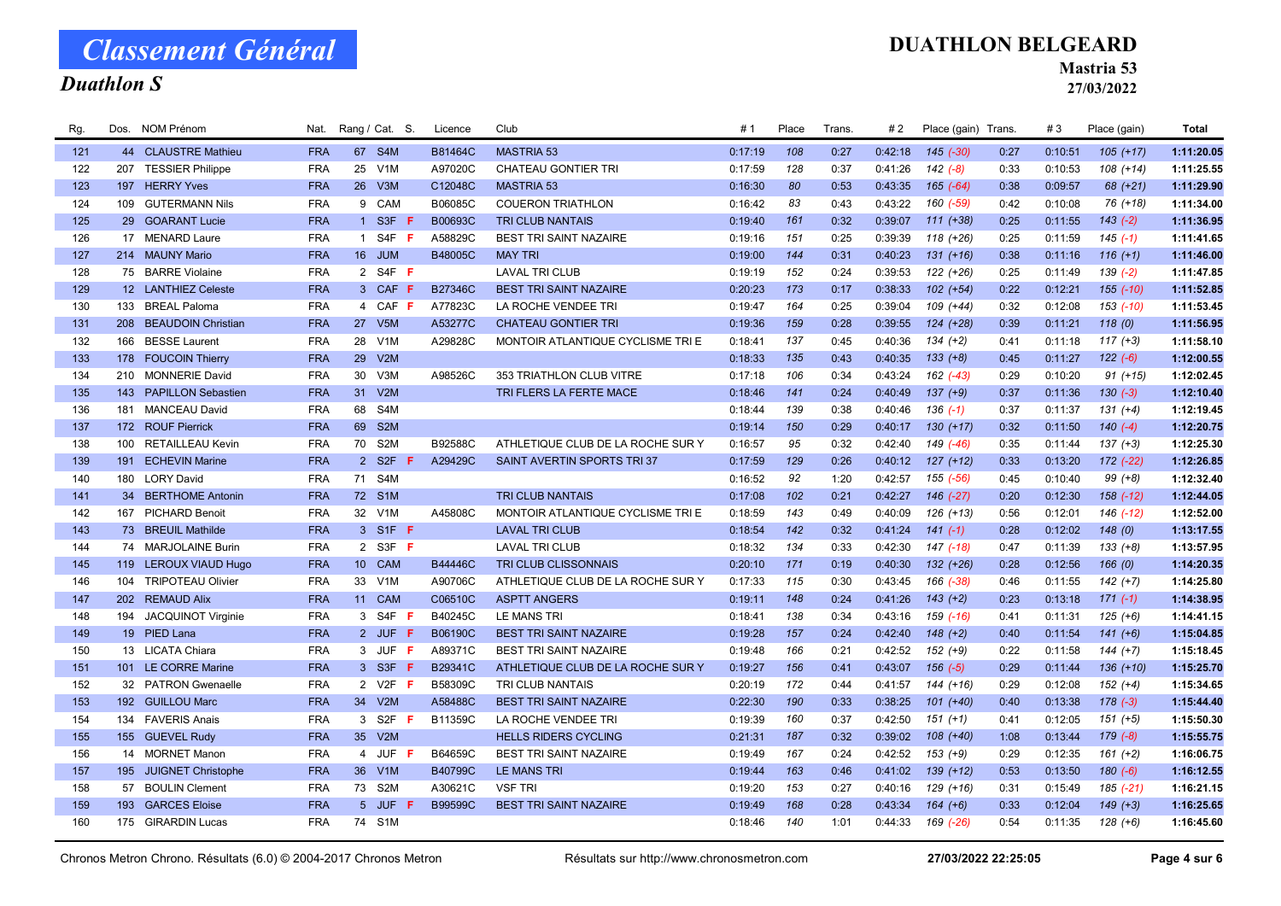## Duathlon S

### DUATHLON BELGEARD

Mastria 53

27/03/2022

| Rg. |     | Dos. NOM Prénom         | Nat.       |                 | Rang / Cat. S.   | Licence        | Club                              | #1      | Place | Trans. | #2      | Place (gain) Trans. |      | #3      | Place (gain)  | <b>Total</b> |
|-----|-----|-------------------------|------------|-----------------|------------------|----------------|-----------------------------------|---------|-------|--------|---------|---------------------|------|---------|---------------|--------------|
| 121 |     | 44 CLAUSTRE Mathieu     | <b>FRA</b> | 67              | S <sub>4</sub> M | B81464C        | <b>MASTRIA 53</b>                 | 0:17:19 | 108   | 0:27   | 0:42:18 | $145$ (-30)         | 0:27 | 0:10:51 | $105 (+17)$   | 1:11:20.05   |
| 122 |     | 207 TESSIER Philippe    | <b>FRA</b> | 25              | V <sub>1</sub> M | A97020C        | CHATEAU GONTIER TRI               | 0:17:59 | 128   | 0:37   | 0:41:26 | $142 (-8)$          | 0:33 | 0:10:53 | $108 (+14)$   | 1:11:25.55   |
| 123 |     | 197 HERRY Yves          | <b>FRA</b> | 26              | V3M              | C12048C        | <b>MASTRIA 53</b>                 | 0:16:30 | 80    | 0:53   | 0:43:35 | $165 (-64)$         | 0:38 | 0:09:57 | 68 (+21)      | 1:11:29.90   |
| 124 | 109 | <b>GUTERMANN Nils</b>   | <b>FRA</b> |                 | 9 CAM            | B06085C        | <b>COUERON TRIATHLON</b>          | 0:16:42 | 83    | 0:43   | 0:43:22 | 160 (-59)           | 0:42 | 0:10:08 | 76 (+18)      | 1:11:34.00   |
| 125 |     | 29 GOARANT Lucie        | <b>FRA</b> |                 | 1 S3F            | B00693C        | <b>TRI CLUB NANTAIS</b>           | 0:19:40 | 161   | 0:32   | 0:39:07 | $111 (+38)$         | 0:25 | 0:11:55 | $143(-2)$     | 1:11:36.95   |
| 126 |     | 17 MENARD Laure         | <b>FRA</b> | $\overline{1}$  | S4F F            | A58829C        | <b>BEST TRI SAINT NAZAIRE</b>     | 0:19:16 | 151   | 0:25   | 0:39:39 | $118 (+26)$         | 0:25 | 0:11:59 | $145(-1)$     | 1:11:41.65   |
| 127 |     | 214 MAUNY Mario         | <b>FRA</b> | 16 <sup>1</sup> | <b>JUM</b>       | B48005C        | <b>MAY TRI</b>                    | 0:19:00 | 144   | 0:31   | 0:40:23 | $131 (+16)$         | 0:38 | 0:11:16 | $116 (+1)$    | 1:11:46.00   |
| 128 |     | 75 BARRE Violaine       | <b>FRA</b> |                 | 2 S4F F          |                | <b>LAVAL TRI CLUB</b>             | 0:19:19 | 152   | 0:24   | 0:39:53 | $122 (+26)$         | 0:25 | 0:11:49 | $139(-2)$     | 1:11:47.85   |
| 129 |     | 12 LANTHIEZ Celeste     | <b>FRA</b> |                 | 3 CAF F          | <b>B27346C</b> | <b>BEST TRI SAINT NAZAIRE</b>     | 0:20:23 | 173   | 0:17   | 0:38:33 | $102 (+54)$         | 0:22 | 0:12:21 | $155 (-10)$   | 1:11:52.85   |
| 130 |     | 133 BREAL Paloma        | <b>FRA</b> |                 | 4 CAF F          | A77823C        | LA ROCHE VENDEE TRI               | 0:19:47 | 164   | 0:25   | 0:39:04 | 109 (+44)           | 0:32 | 0:12:08 | 153 (-10)     | 1:11:53.45   |
| 131 |     | 208 BEAUDOIN Christian  | <b>FRA</b> |                 | 27 V5M           | A53277C        | <b>CHATEAU GONTIER TRI</b>        | 0:19:36 | 159   | 0:28   | 0:39:55 | $124 (+28)$         | 0:39 | 0:11:21 | 118(0)        | 1:11:56.95   |
| 132 | 166 | <b>BESSE Laurent</b>    | <b>FRA</b> | 28              | V <sub>1</sub> M | A29828C        | MONTOIR ATLANTIQUE CYCLISME TRI E | 0:18:41 | 137   | 0:45   | 0:40:36 | $134 (+2)$          | 0:41 | 0:11:18 | $117 (+3)$    | 1:11:58.10   |
| 133 |     | 178 FOUCOIN Thierry     | <b>FRA</b> | 29              | V2M              |                |                                   | 0:18:33 | 135   | 0:43   | 0:40:35 | $133 (+8)$          | 0:45 | 0:11:27 | $122(-6)$     | 1:12:00.55   |
| 134 |     | 210 MONNERIE David      | <b>FRA</b> | 30              | V3M              | A98526C        | 353 TRIATHLON CLUB VITRE          | 0:17:18 | 106   | 0:34   | 0:43:24 | 162 (-43)           | 0:29 | 0:10:20 | $91 (+15)$    | 1:12:02.45   |
| 135 |     | 143 PAPILLON Sebastien  | <b>FRA</b> | 31              | V2M              |                | TRI FLERS LA FERTE MACE           | 0:18:46 | 141   | 0:24   | 0:40:49 | $137 (+9)$          | 0:37 | 0:11:36 | $130(-3)$     | 1:12:10.40   |
| 136 |     | 181 MANCEAU David       | <b>FRA</b> | 68              | S4M              |                |                                   | 0:18:44 | 139   | 0:38   | 0:40:46 | $136(-1)$           | 0:37 | 0:11:37 | $131 (+4)$    | 1:12:19.45   |
| 137 |     | 172 ROUF Pierrick       | <b>FRA</b> | 69              | S <sub>2</sub> M |                |                                   | 0:19:14 | 150   | 0:29   | 0:40:17 | $130 (+17)$         | 0:32 | 0:11:50 | $140(-4)$     | 1:12:20.75   |
| 138 | 100 | <b>RETAILLEAU Kevin</b> | <b>FRA</b> | 70              | S <sub>2</sub> M | B92588C        | ATHLETIQUE CLUB DE LA ROCHE SUR Y | 0:16:57 | 95    | 0:32   | 0:42:40 | 149 (-46)           | 0:35 | 0:11:44 | $137 (+3)$    | 1:12:25.30   |
| 139 | 191 | <b>ECHEVIN Marine</b>   | <b>FRA</b> |                 | 2 S2F            | A29429C        | SAINT AVERTIN SPORTS TRI37        | 0:17:59 | 129   | 0:26   | 0:40:12 | $127 (+12)$         | 0:33 | 0:13:20 | 172 (-22)     | 1:12:26.85   |
| 140 |     | 180 LORY David          | <b>FRA</b> | 71              | S4M              |                |                                   | 0:16:52 | 92    | 1:20   | 0:42:57 | 155 (-56)           | 0:45 | 0:10:40 | $99 (+8)$     | 1:12:32.40   |
| 141 |     | 34 BERTHOME Antonin     | <b>FRA</b> |                 | 72 S1M           |                | <b>TRI CLUB NANTAIS</b>           | 0:17:08 | 102   | 0:21   | 0:42:27 | $146$ $(-27)$       | 0:20 | 0:12:30 | $158$ $(-12)$ | 1:12:44.05   |
| 142 | 167 | <b>PICHARD Benoit</b>   | <b>FRA</b> | 32              | V <sub>1</sub> M | A45808C        | MONTOIR ATLANTIQUE CYCLISME TRI E | 0:18:59 | 143   | 0:49   | 0:40:09 | $126 (+13)$         | 0:56 | 0:12:01 | 146 (-12)     | 1:12:52.00   |
| 143 |     | 73 BREUIL Mathilde      | <b>FRA</b> |                 | 3 S1F F          |                | <b>LAVAL TRI CLUB</b>             | 0:18:54 | 142   | 0:32   | 0:41:24 | $141(-1)$           | 0:28 | 0:12:02 | 148(0)        | 1:13:17.55   |
| 144 |     | 74 MARJOLAINE Burin     | <b>FRA</b> |                 | 2 S3F F          |                | <b>LAVAL TRI CLUB</b>             | 0:18:32 | 134   | 0:33   | 0:42:30 | 147 (-18)           | 0:47 | 0:11:39 | $133 (+8)$    | 1:13:57.95   |
| 145 |     | 119 LEROUX VIAUD Hugo   | <b>FRA</b> | 10 <sup>1</sup> | CAM              | B44446C        | <b>TRI CLUB CLISSONNAIS</b>       | 0:20:10 | 171   | 0:19   | 0:40:30 | $132 (+26)$         | 0:28 | 0:12:56 | 166(0)        | 1:14:20.35   |
| 146 |     | 104 TRIPOTEAU Olivier   | <b>FRA</b> | 33              | V <sub>1</sub> M | A90706C        | ATHLETIQUE CLUB DE LA ROCHE SUR Y | 0:17:33 | 115   | 0:30   | 0:43:45 | 166 (-38)           | 0:46 | 0:11:55 | $142 (+7)$    | 1:14:25.80   |
| 147 |     | 202 REMAUD Alix         | <b>FRA</b> | 11              | <b>CAM</b>       | C06510C        | <b>ASPTT ANGERS</b>               | 0:19:11 | 148   | 0:24   | 0:41:26 | $143 (+2)$          | 0:23 | 0:13:18 | $171(-1)$     | 1:14:38.95   |
| 148 |     | 194 JACQUINOT Virginie  | <b>FRA</b> |                 | 3 S4F F          | B40245C        | <b>LE MANS TRI</b>                | 0:18:41 | 138   | 0:34   | 0:43:16 | 159 (-16)           | 0:41 | 0:11:31 | $125 (+6)$    | 1:14:41.15   |
| 149 |     | 19 PIED Lana            | <b>FRA</b> |                 | 2 JUF F          | B06190C        | <b>BEST TRI SAINT NAZAIRE</b>     | 0:19:28 | 157   | 0:24   | 0:42:40 | $148 (+2)$          | 0:40 | 0:11:54 | $141 (+6)$    | 1:15:04.85   |
| 150 |     | 13 LICATA Chiara        | <b>FRA</b> |                 | 3 JUF F          | A89371C        | <b>BEST TRI SAINT NAZAIRE</b>     | 0:19:48 | 166   | 0:21   | 0:42:52 | $152 (+9)$          | 0:22 | 0:11:58 | $144 (+7)$    | 1:15:18.45   |
| 151 |     | 101 LE CORRE Marine     | <b>FRA</b> |                 | 3 S3F <b>F</b>   | B29341C        | ATHLETIQUE CLUB DE LA ROCHE SUR Y | 0:19:27 | 156   | 0:41   | 0:43:07 | $156(-5)$           | 0:29 | 0:11:44 | $136 (+10)$   | 1:15:25.70   |
| 152 |     | 32 PATRON Gwenaelle     | <b>FRA</b> |                 | 2 V2F <b>F</b>   | B58309C        | <b>TRI CLUB NANTAIS</b>           | 0:20:19 | 172   | 0:44   | 0:41:57 | 144 (+16)           | 0:29 | 0:12:08 | $152 (+4)$    | 1:15:34.65   |
| 153 |     | 192 GUILLOU Marc        | <b>FRA</b> |                 | 34 V2M           | A58488C        | <b>BEST TRI SAINT NAZAIRE</b>     | 0:22:30 | 190   | 0:33   | 0:38:25 | $101 (+40)$         | 0:40 | 0:13:38 | $178(-3)$     | 1:15:44.40   |
| 154 |     | 134 FAVERIS Anais       | <b>FRA</b> |                 | 3 S2F <b>F</b>   | B11359C        | LA ROCHE VENDEE TRI               | 0:19:39 | 160   | 0:37   | 0:42:50 | $151 (+1)$          | 0:41 | 0:12:05 | $151 (+5)$    | 1:15:50.30   |
| 155 |     | 155 GUEVEL Rudy         | <b>FRA</b> | 35 <sup>5</sup> | V2M              |                | <b>HELLS RIDERS CYCLING</b>       | 0:21:31 | 187   | 0:32   | 0:39:02 | $108 (+40)$         | 1:08 | 0:13:44 | $179(-8)$     | 1:15:55.75   |
| 156 |     | 14 MORNET Manon         | <b>FRA</b> | $\overline{4}$  | JUF<br>-F        | B64659C        | BEST TRI SAINT NAZAIRE            | 0:19:49 | 167   | 0:24   | 0:42:52 | $153 (+9)$          | 0:29 | 0:12:35 | $161 (+2)$    | 1:16:06.75   |
| 157 |     | 195 JUIGNET Christophe  | <b>FRA</b> | 36 <sup>°</sup> | V1M              | B40799C        | <b>LE MANS TRI</b>                | 0:19:44 | 163   | 0:46   | 0:41:02 | $139 (+12)$         | 0:53 | 0:13:50 | $180(-6)$     | 1:16:12.55   |
| 158 |     | 57 BOULIN Clement       | <b>FRA</b> |                 | 73 S2M           | A30621C        | <b>VSF TRI</b>                    | 0:19:20 | 153   | 0:27   | 0:40:16 | 129 (+16)           | 0:31 | 0:15:49 | 185 (-21)     | 1:16:21.15   |
| 159 | 193 | <b>GARCES Eloise</b>    | <b>FRA</b> |                 | 5 JUF            | B99599C        | <b>BEST TRI SAINT NAZAIRE</b>     | 0:19:49 | 168   | 0:28   | 0:43:34 | $164 (+6)$          | 0:33 | 0:12:04 | $149 (+3)$    | 1:16:25.65   |
| 160 |     | 175 GIRARDIN Lucas      | <b>FRA</b> |                 | 74 S1M           |                |                                   | 0:18:46 | 140   | 1:01   | 0:44:33 | 169 (-26)           | 0:54 | 0:11:35 | $128(+6)$     | 1:16:45.60   |
|     |     |                         |            |                 |                  |                |                                   |         |       |        |         |                     |      |         |               |              |

Chronos Metron Chrono. Résultats (6.0) © 2004-2017 Chronos Metron Résultats sur http://www.chronosmetron.com 27/03/2022 22:25:05 Page 4 sur 6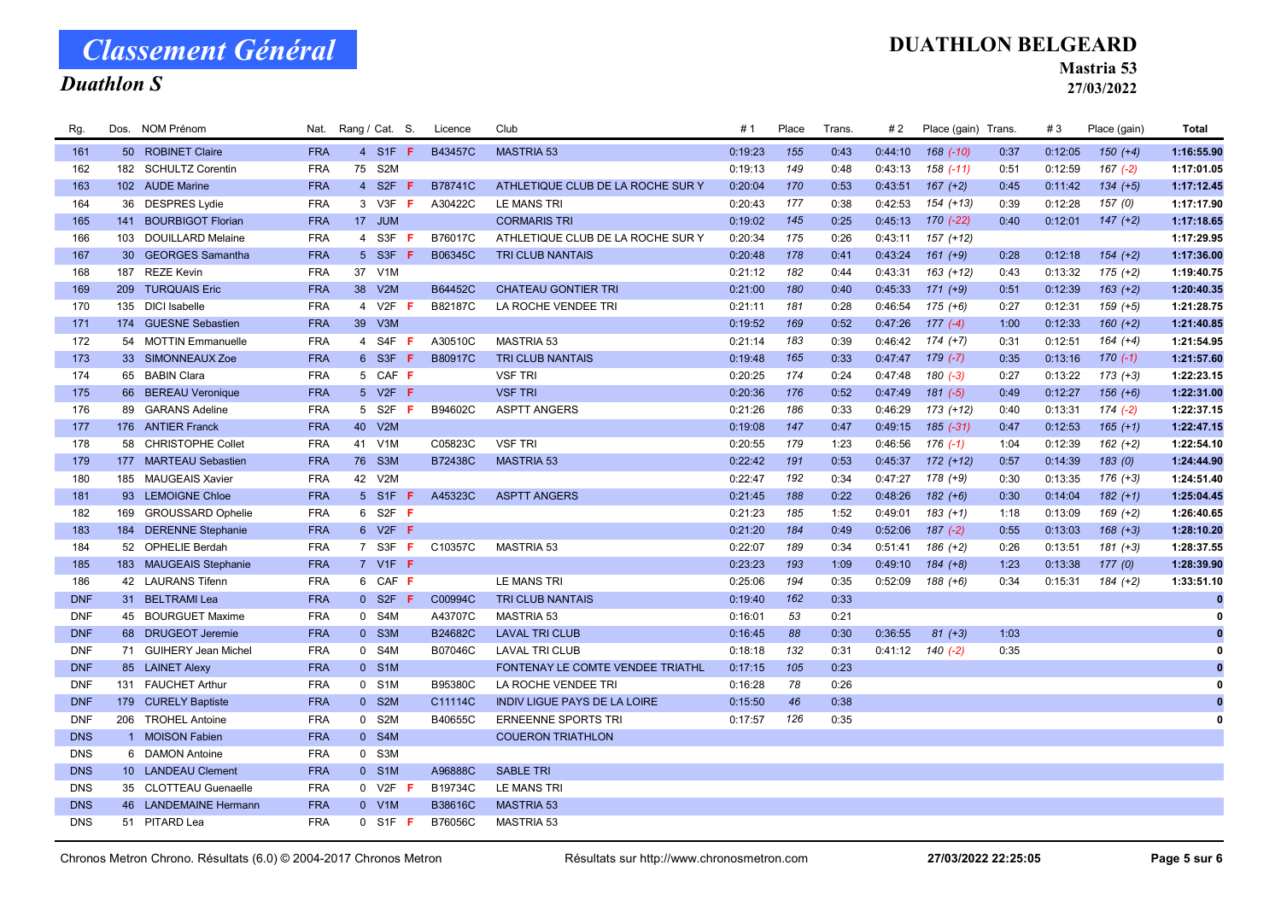## Duathlon S

### DUATHLON BELGEARD

Mastria 53

| Rg.        | Dos. NOM Prénom        |            | Nat. Rang / Cat. S.     |         | Licence        | Club                                | # 1     | Place | Trans. | #2      | Place (gain) Trans.    |      | #3      | Place (gain) | Total        |
|------------|------------------------|------------|-------------------------|---------|----------------|-------------------------------------|---------|-------|--------|---------|------------------------|------|---------|--------------|--------------|
| 161        | 50 ROBINET Claire      | <b>FRA</b> |                         | 4 S1F F | B43457C        | <b>MASTRIA 53</b>                   | 0:19:23 | 155   | 0:43   | 0:44:10 | $168$ $(-10)$          | 0:37 | 0:12:05 | $150 (+4)$   | 1:16:55.90   |
| 162        | 182 SCHULTZ Corentin   | <b>FRA</b> | 75 S2M                  |         |                |                                     | 0:19:13 | 149   | 0:48   | 0:43:13 | $158$ $(-11)$          | 0:51 | 0:12:59 | $167(-2)$    | 1:17:01.05   |
| 163        | 102 AUDE Marine        | <b>FRA</b> | 4 S2F <b>F</b>          |         | B78741C        | ATHLETIQUE CLUB DE LA ROCHE SUR Y   | 0:20:04 | 170   | 0:53   | 0:43:51 | $167 (+2)$             | 0:45 | 0:11:42 | $134 (+5)$   | 1:17:12.45   |
| 164        | 36 DESPRES Lydie       | <b>FRA</b> | 3 V3F <b>F</b>          |         | A30422C        | <b>LE MANS TRI</b>                  | 0:20:43 | 177   | 0:38   | 0:42:53 | $154 (+13)$            | 0:39 | 0:12:28 | 157(0)       | 1:17:17.90   |
| 165        | 141 BOURBIGOT Florian  | <b>FRA</b> | 17 JUM                  |         |                | <b>CORMARIS TRI</b>                 | 0:19:02 | 145   | 0:25   | 0:45:13 | $170(-22)$             | 0:40 | 0:12:01 | $147 (+2)$   | 1:17:18.65   |
| 166        | 103 DOUILLARD Melaine  | <b>FRA</b> | 4 S3F <b>F</b>          |         | B76017C        | ATHLETIQUE CLUB DE LA ROCHE SUR Y   | 0:20:34 | 175   | 0:26   | 0:43:11 | 157 (+12)              |      |         |              | 1:17:29.95   |
| 167        | 30 GEORGES Samantha    | <b>FRA</b> | 5 S3F F                 |         | B06345C        | <b>TRI CLUB NANTAIS</b>             | 0:20:48 | 178   | 0:41   | 0:43:24 | $161 (+9)$             | 0:28 | 0:12:18 | $154 (+2)$   | 1:17:36.00   |
| 168        | 187 REZE Kevin         | <b>FRA</b> | 37 V1M                  |         |                |                                     | 0:21:12 | 182   | 0:44   | 0:43:31 | $163 (+12)$            | 0:43 | 0:13:32 | $175 (+2)$   | 1:19:40.75   |
| 169        | 209 TURQUAIS Eric      | <b>FRA</b> | 38 V2M                  |         | B64452C        | <b>CHATEAU GONTIER TRI</b>          | 0:21:00 | 180   | 0:40   | 0:45:33 | $171 (+9)$             | 0:51 | 0:12:39 | $163 (+2)$   | 1:20:40.35   |
| 170        | 135 DICI Isabelle      | <b>FRA</b> | 4 V2F <b>F</b>          |         | B82187C        | LA ROCHE VENDEE TRI                 | 0:21:11 | 181   | 0:28   | 0:46:54 | $175 (+6)$             | 0:27 | 0:12:31 | $159 (+5)$   | 1:21:28.75   |
| 171        | 174 GUESNE Sebastien   | <b>FRA</b> | 39 V3M                  |         |                |                                     | 0:19:52 | 169   | 0:52   | 0:47:26 | $177(-4)$              | 1:00 | 0:12:33 | $160 (+2)$   | 1:21:40.85   |
| 172        | 54 MOTTIN Emmanuelle   | <b>FRA</b> | 4 S4F F                 |         | A30510C        | MASTRIA 53                          | 0:21:14 | 183   | 0:39   | 0:46:42 | $174 (+7)$             | 0:31 | 0:12:51 | $164 (+4)$   | 1:21:54.95   |
| 173        | 33 SIMONNEAUX Zoe      | <b>FRA</b> | 6 S3F <b>F</b>          |         | B80917C        | <b>TRI CLUB NANTAIS</b>             | 0:19:48 | 165   | 0:33   | 0:47:47 | $179(-7)$              | 0:35 | 0:13:16 | $170(-1)$    | 1:21:57.60   |
| 174        | 65 BABIN Clara         | <b>FRA</b> | 5 CAF F                 |         |                | <b>VSF TRI</b>                      | 0:20:25 | 174   | 0:24   | 0:47:48 | 180 (-3)               | 0:27 | 0:13:22 | $173 (+3)$   | 1:22:23.15   |
| 175        | 66 BEREAU Veronique    | <b>FRA</b> | 5 V2F <b>F</b>          |         |                | <b>VSF TRI</b>                      | 0:20:36 | 176   | 0:52   | 0:47:49 | $181 (-5)$             | 0:49 | 0:12:27 | $156 (+6)$   | 1:22:31.00   |
| 176        | 89 GARANS Adeline      | <b>FRA</b> | 5 S2F <b>F</b>          |         | B94602C        | <b>ASPTT ANGERS</b>                 | 0:21:26 | 186   | 0:33   | 0:46:29 | 173 (+12)              | 0:40 | 0:13:31 | $174 (-2)$   | 1:22:37.15   |
| 177        | 176 ANTIER Franck      | <b>FRA</b> | 40 V2M                  |         |                |                                     | 0:19:08 | 147   | 0:47   | 0:49:15 | $185(-31)$             | 0:47 | 0:12:53 | $165 (+1)$   | 1:22:47.15   |
| 178        | 58 CHRISTOPHE Collet   | <b>FRA</b> | V <sub>1</sub> M<br>41  |         | C05823C        | <b>VSF TRI</b>                      | 0:20:55 | 179   | 1:23   | 0:46:56 | $176(-1)$              | 1:04 | 0:12:39 | $162 (+2)$   | 1:22:54.10   |
| 179        | 177 MARTEAU Sebastien  | <b>FRA</b> | 76 S3M                  |         | <b>B72438C</b> | <b>MASTRIA 53</b>                   | 0:22:42 | 191   | 0:53   | 0:45:37 | $172 (+12)$            | 0:57 | 0:14:39 | 183(0)       | 1:24:44.90   |
| 180        | 185 MAUGEAIS Xavier    | <b>FRA</b> | 42 V2M                  |         |                |                                     | 0:22:47 | 192   | 0:34   | 0:47:27 | 178 (+9)               | 0:30 | 0:13:35 | $176 (+3)$   | 1:24:51.40   |
| 181        | 93 LEMOIGNE Chloe      | <b>FRA</b> | 5 S1F F                 |         | A45323C        | <b>ASPTT ANGERS</b>                 | 0:21:45 | 188   | 0:22   | 0:48:26 | $182 (+6)$             | 0:30 | 0:14:04 | $182 (+1)$   | 1:25:04.45   |
| 182        | 169 GROUSSARD Ophelie  | <b>FRA</b> | 6 S2F <b>F</b>          |         |                |                                     | 0:21:23 | 185   | 1:52   | 0:49:01 | $183 (+1)$             | 1:18 | 0:13:09 | $169 (+2)$   | 1:26:40.65   |
| 183        | 184 DERENNE Stephanie  | <b>FRA</b> | 6 V2F <b>F</b>          |         |                |                                     | 0:21:20 | 184   | 0:49   | 0:52:06 | $187(-2)$              | 0:55 | 0:13:03 | $168 (+3)$   | 1:28:10.20   |
| 184        | 52 OPHELIE Berdah      | <b>FRA</b> | 7 S3F <b>F</b>          |         | C10357C        | <b>MASTRIA 53</b>                   | 0:22:07 | 189   | 0:34   | 0:51:41 | $186 (+2)$             | 0:26 | 0:13:51 | $181 (+3)$   | 1:28:37.55   |
| 185        | 183 MAUGEAIS Stephanie | <b>FRA</b> | 7 V1F F                 |         |                |                                     | 0:23:23 | 193   | 1:09   | 0:49:10 | $184 (+8)$             | 1:23 | 0:13:38 | 177(0)       | 1:28:39.90   |
| 186        | 42 LAURANS Tifenn      | <b>FRA</b> | 6 CAF F                 |         |                | <b>LE MANS TRI</b>                  | 0:25:06 | 194   | 0:35   | 0:52:09 | 188 (+6)               | 0:34 | 0:15:31 | $184 (+2)$   | 1:33:51.10   |
| <b>DNF</b> | 31 BELTRAMI Lea        | <b>FRA</b> | $0$ S <sub>2F</sub> $F$ |         | C00994C        | <b>TRI CLUB NANTAIS</b>             | 0:19:40 | 162   | 0:33   |         |                        |      |         |              | $\mathbf{0}$ |
| <b>DNF</b> | 45 BOURGUET Maxime     | <b>FRA</b> | 0 S4M                   |         | A43707C        | <b>MASTRIA 53</b>                   | 0:16:01 | 53    | 0:21   |         |                        |      |         |              | 0            |
| <b>DNF</b> | 68 DRUGEOT Jeremie     | <b>FRA</b> | 0 S3M                   |         | B24682C        | <b>LAVAL TRI CLUB</b>               | 0:16:45 | 88    | 0:30   | 0:36:55 | $81 (+3)$              | 1:03 |         |              | $\mathbf{0}$ |
| <b>DNF</b> | 71 GUIHERY Jean Michel | <b>FRA</b> | 0 S4M                   |         | B07046C        | <b>LAVAL TRI CLUB</b>               | 0:18:18 | 132   | 0:31   |         | $0:41:12$ $140$ $(-2)$ | 0:35 |         |              | 0            |
| <b>DNF</b> | 85 LAINET Alexy        | <b>FRA</b> | 0 S1M                   |         |                | FONTENAY LE COMTE VENDEE TRIATHL    | 0:17:15 | 105   | 0:23   |         |                        |      |         |              | $\bf{0}$     |
| <b>DNF</b> | 131 FAUCHET Arthur     | <b>FRA</b> | 0 S1M                   |         | B95380C        | LA ROCHE VENDEE TRI                 | 0:16:28 | 78    | 0:26   |         |                        |      |         |              |              |
| <b>DNF</b> | 179 CURELY Baptiste    | <b>FRA</b> | 0 S2M                   |         | C11114C        | <b>INDIV LIGUE PAYS DE LA LOIRE</b> | 0:15:50 | 46    | 0:38   |         |                        |      |         |              | $\bf{0}$     |
| <b>DNF</b> | 206 TROHEL Antoine     | <b>FRA</b> | 0 S2M                   |         | B40655C        | <b>ERNEENNE SPORTS TRI</b>          | 0:17:57 | 126   | 0:35   |         |                        |      |         |              | 0            |
| <b>DNS</b> | 1 MOISON Fabien        | <b>FRA</b> | 0 S4M                   |         |                | <b>COUERON TRIATHLON</b>            |         |       |        |         |                        |      |         |              |              |
| <b>DNS</b> | 6 DAMON Antoine        | <b>FRA</b> | 0 S3M                   |         |                |                                     |         |       |        |         |                        |      |         |              |              |
| <b>DNS</b> | 10 LANDEAU Clement     | <b>FRA</b> | 0 S1M                   |         | A96888C        | <b>SABLE TRI</b>                    |         |       |        |         |                        |      |         |              |              |
| <b>DNS</b> | 35 CLOTTEAU Guenaelle  | <b>FRA</b> | $0$ V2F F               |         | B19734C        | LE MANS TRI                         |         |       |        |         |                        |      |         |              |              |
| <b>DNS</b> | 46 LANDEMAINE Hermann  | <b>FRA</b> | $0$ V1M                 |         | <b>B38616C</b> | <b>MASTRIA 53</b>                   |         |       |        |         |                        |      |         |              |              |
| <b>DNS</b> | 51 PITARD Lea          | <b>FRA</b> | $0$ S1F F               |         | B76056C        | <b>MASTRIA 53</b>                   |         |       |        |         |                        |      |         |              |              |
|            |                        |            |                         |         |                |                                     |         |       |        |         |                        |      |         |              |              |